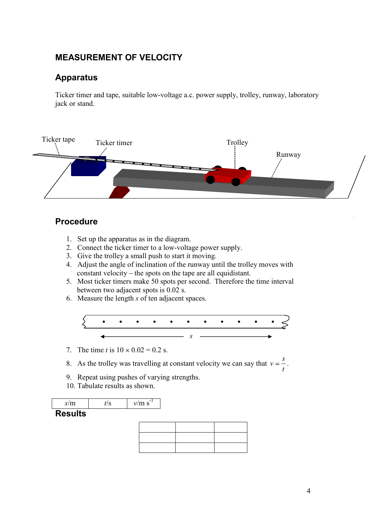# MEASUREMENT OF VELOCITY

### Apparatus

Ticker timer and tape, suitable low-voltage a.c. power supply, trolley, runway, laboratory jack or stand.



### Procedure

- 1. Set up the apparatus as in the diagram.
- 2. Connect the ticker timer to a low-voltage power supply.
- 3. Give the trolley a small push to start it moving.
- 4. Adjust the angle of inclination of the runway until the trolley moves with  $\therefore$  constant velocity – the spots on the tape are all equidistant.
- 5. Most ticker timers make 50 spots per second. Therefore the time interval between two adjacent spots is 0.02 s.
- 6. Measure the length s of ten adjacent spaces.



- 7. The time t is  $10 \times 0.02 = 0.2$  s.
- 8. As the trolley was travelling at constant velocity we can say that  $v = \frac{3}{t}$ .<br>9. Repeat using pushes of varying strengths. s<sup>s</sup>
- 
- 10. Tabulate results as shown.

#### **Results**